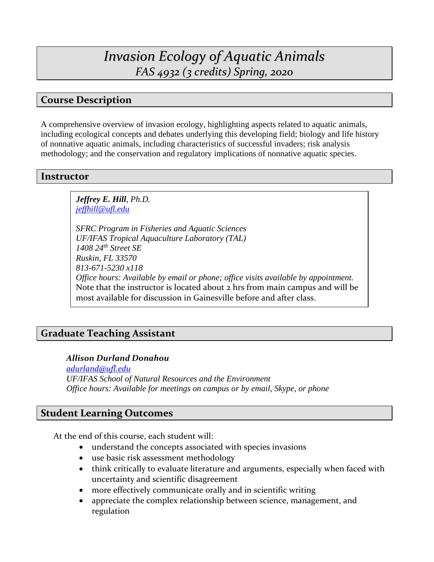# *Invasion Ecology of Aquatic Animals FAS 4932 (3 credits) Spring, 2020*

## **Course Description**

A comprehensive overview of invasion ecology, highlighting aspects related to aquatic animals, including ecological concepts and debates underlying this developing field; biology and life history of nonnative aquatic animals, including characteristics of successful invaders; risk analysis methodology; and the conservation and regulatory implications of nonnative aquatic species.

#### **Instructor**

*Jeffrey E. Hill, Ph.D. [jeffhill@ufl.edu](mailto:jeffhill@ufl.edu)*

*SFRC Program in Fisheries and Aquatic Sciences UF/IFAS Tropical Aquaculture Laboratory (TAL) 1408 24th Street SE Ruskin, FL 33570 813-671-5230 x118 Office hours: Available by email or phone; office visits available by appointment.*  Note that the instructor is located about 2 hrs from main campus and will be most available for discussion in Gainesville before and after class.

## **Graduate Teaching Assistant**

#### *Allison Durland Donahou*

*[adurland@ufl.edu](mailto:adurland@ufl.edu) UF/IFAS School of Natural Resources and the Environment Office hours: Available for meetings on campus or by email, Skype, or phone*

### **Student Learning Outcomes**

At the end of this course, each student will:

- understand the concepts associated with species invasions
- use basic risk assessment methodology
- think critically to evaluate literature and arguments, especially when faced with uncertainty and scientific disagreement
- more effectively communicate orally and in scientific writing
- appreciate the complex relationship between science, management, and regulation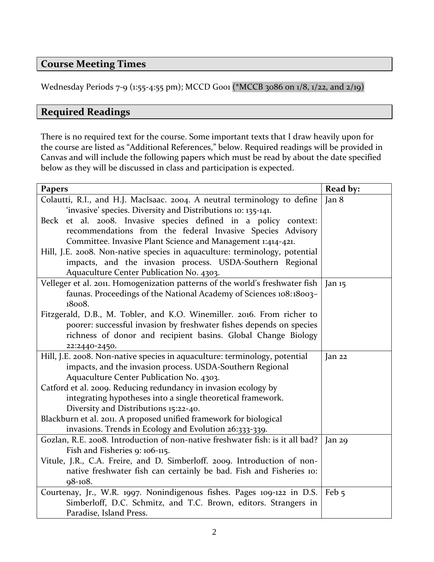## **Course Meeting Times**

Wednesday Periods 7-9 (1:55-4:55 pm); MCCD G001 (\*MCCB 3086 on 1/8, 1/22, and 2/19)

## **Required Readings**

There is no required text for the course. Some important texts that I draw heavily upon for the course are listed as "Additional References," below. Required readings will be provided in Canvas and will include the following papers which must be read by about the date specified below as they will be discussed in class and participation is expected.

| <b>Papers</b>                                                                 | Read by:         |
|-------------------------------------------------------------------------------|------------------|
| Colautti, R.I., and H.J. MacIsaac. 2004. A neutral terminology to define      | Jan 8            |
| 'invasive' species. Diversity and Distributions 10: 135-141.                  |                  |
| Beck et al. 2008. Invasive species defined in a policy context:               |                  |
| recommendations from the federal Invasive Species Advisory                    |                  |
| Committee. Invasive Plant Science and Management 1:414-421.                   |                  |
| Hill, J.E. 2008. Non-native species in aquaculture: terminology, potential    |                  |
| impacts, and the invasion process. USDA-Southern Regional                     |                  |
| Aquaculture Center Publication No. 4303.                                      |                  |
| Velleger et al. 2011. Homogenization patterns of the world's freshwater fish  | Jan $15$         |
| faunas. Proceedings of the National Academy of Sciences 108:18003-            |                  |
| 18008.                                                                        |                  |
| Fitzgerald, D.B., M. Tobler, and K.O. Winemiller. 2016. From richer to        |                  |
| poorer: successful invasion by freshwater fishes depends on species           |                  |
| richness of donor and recipient basins. Global Change Biology                 |                  |
| 22:2440-2450.                                                                 |                  |
| Hill, J.E. 2008. Non-native species in aquaculture: terminology, potential    | Jan 22           |
| impacts, and the invasion process. USDA-Southern Regional                     |                  |
| Aquaculture Center Publication No. 4303.                                      |                  |
| Catford et al. 2009. Reducing redundancy in invasion ecology by               |                  |
| integrating hypotheses into a single theoretical framework.                   |                  |
| Diversity and Distributions 15:22-40.                                         |                  |
| Blackburn et al. 2011. A proposed unified framework for biological            |                  |
| invasions. Trends in Ecology and Evolution 26:333-339.                        |                  |
| Gozlan, R.E. 2008. Introduction of non-native freshwater fish: is it all bad? | Jan 29           |
| Fish and Fisheries 9: 106-115.                                                |                  |
| Vitule, J.R., C.A. Freire, and D. Simberloff. 2009. Introduction of non-      |                  |
| native freshwater fish can certainly be bad. Fish and Fisheries 10:           |                  |
| 98-108.                                                                       |                  |
| Courtenay, Jr., W.R. 1997. Nonindigenous fishes. Pages 109-122 in D.S.        | Feb <sub>5</sub> |
| Simberloff, D.C. Schmitz, and T.C. Brown, editors. Strangers in               |                  |
| Paradise, Island Press.                                                       |                  |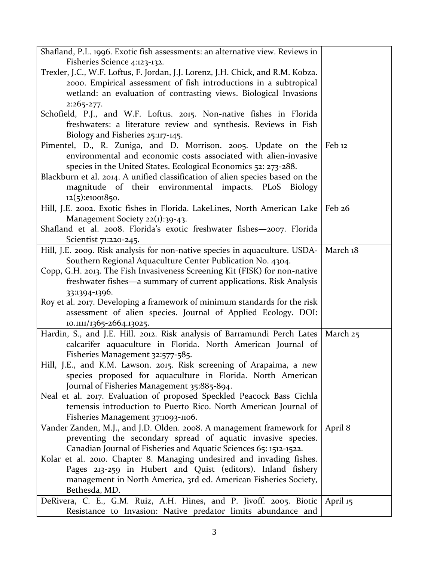| Shafland, P.L. 1996. Exotic fish assessments: an alternative view. Reviews in                    |                   |
|--------------------------------------------------------------------------------------------------|-------------------|
| Fisheries Science 4:123-132.                                                                     |                   |
| Trexler, J.C., W.F. Loftus, F. Jordan, J.J. Lorenz, J.H. Chick, and R.M. Kobza.                  |                   |
| 2000. Empirical assessment of fish introductions in a subtropical                                |                   |
| wetland: an evaluation of contrasting views. Biological Invasions                                |                   |
| $2:265 - 277.$                                                                                   |                   |
| Schofield, P.J., and W.F. Loftus. 2015. Non-native fishes in Florida                             |                   |
| freshwaters: a literature review and synthesis. Reviews in Fish                                  |                   |
| Biology and Fisheries 25:117-145.                                                                |                   |
| Pimentel, D., R. Zuniga, and D. Morrison. 2005. Update on the                                    | Feb <sub>12</sub> |
| environmental and economic costs associated with alien-invasive                                  |                   |
| species in the United States. Ecological Economics 52: 273-288.                                  |                   |
| Blackburn et al. 2014. A unified classification of alien species based on the                    |                   |
| magnitude of their environmental impacts. PLoS Biology                                           |                   |
| $12(5):$ e1001850.                                                                               |                   |
| Hill, J.E. 2002. Exotic fishes in Florida. LakeLines, North American Lake   Feb 26               |                   |
| Management Society 22(1):39-43.                                                                  |                   |
| Shafland et al. 2008. Florida's exotic freshwater fishes-2007. Florida                           |                   |
| Scientist 71:220-245.                                                                            |                   |
| Hill, J.E. 2009. Risk analysis for non-native species in aquaculture. USDA-                      | March 18          |
| Southern Regional Aquaculture Center Publication No. 4304.                                       |                   |
| Copp, G.H. 2013. The Fish Invasiveness Screening Kit (FISK) for non-native                       |                   |
| freshwater fishes—a summary of current applications. Risk Analysis                               |                   |
| 33:1394-1396.                                                                                    |                   |
| Roy et al. 2017. Developing a framework of minimum standards for the risk                        |                   |
| assessment of alien species. Journal of Applied Ecology. DOI:                                    |                   |
| 10.1111/1365-2664.13025.                                                                         |                   |
| Hardin, S., and J.E. Hill. 2012. Risk analysis of Barramundi Perch Lates                         | March 25          |
| calcarifer aquaculture in Florida. North American Journal of<br>Fisheries Management 32:577-585. |                   |
| Hill, J.E., and K.M. Lawson. 2015. Risk screening of Arapaima, a new                             |                   |
| species proposed for aquaculture in Florida. North American                                      |                   |
| Journal of Fisheries Management 35:885-894.                                                      |                   |
| Neal et al. 2017. Evaluation of proposed Speckled Peacock Bass Cichla                            |                   |
| temensis introduction to Puerto Rico. North American Journal of                                  |                   |
| Fisheries Management 37:1093-1106.                                                               |                   |
| Vander Zanden, M.J., and J.D. Olden. 2008. A management framework for                            | April 8           |
| preventing the secondary spread of aquatic invasive species.                                     |                   |
| Canadian Journal of Fisheries and Aquatic Sciences 65: 1512-1522.                                |                   |
| Kolar et al. 2010. Chapter 8. Managing undesired and invading fishes.                            |                   |
| Pages 213-259 in Hubert and Quist (editors). Inland fishery                                      |                   |
| management in North America, 3rd ed. American Fisheries Society,                                 |                   |
| Bethesda, MD.                                                                                    |                   |
| DeRivera, C. E., G.M. Ruiz, A.H. Hines, and P. Jivoff. 2005. Biotic                              | April 15          |
| Resistance to Invasion: Native predator limits abundance and                                     |                   |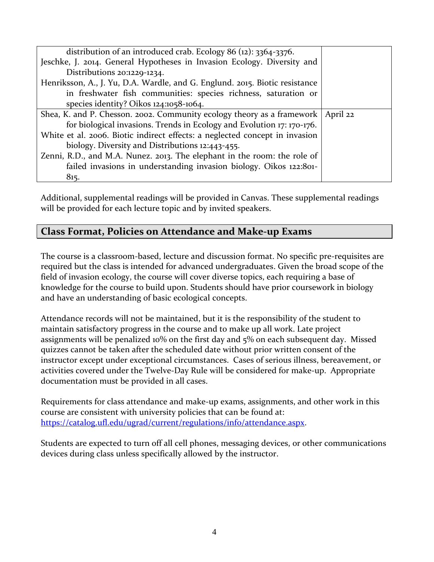| distribution of an introduced crab. Ecology 86 $(12)$ : 3364-3376.          |          |
|-----------------------------------------------------------------------------|----------|
| Jeschke, J. 2014. General Hypotheses in Invasion Ecology. Diversity and     |          |
| Distributions 20:1229-1234.                                                 |          |
| Henriksson, A., J. Yu, D.A. Wardle, and G. Englund. 2015. Biotic resistance |          |
| in freshwater fish communities: species richness, saturation or             |          |
| species identity? Oikos $124:1058-1064$ .                                   |          |
| Shea, K. and P. Chesson. 2002. Community ecology theory as a framework      | April 22 |
| for biological invasions. Trends in Ecology and Evolution 17: 170-176.      |          |
| White et al. 2006. Biotic indirect effects: a neglected concept in invasion |          |
| biology. Diversity and Distributions 12:443-455.                            |          |
| Zenni, R.D., and M.A. Nunez. 2013. The elephant in the room: the role of    |          |
| failed invasions in understanding invasion biology. Oikos 122:801-          |          |
| 815.                                                                        |          |

Additional, supplemental readings will be provided in Canvas. These supplemental readings will be provided for each lecture topic and by invited speakers.

## **Class Format, Policies on Attendance and Make-up Exams**

The course is a classroom-based, lecture and discussion format. No specific pre-requisites are required but the class is intended for advanced undergraduates. Given the broad scope of the field of invasion ecology, the course will cover diverse topics, each requiring a base of knowledge for the course to build upon. Students should have prior coursework in biology and have an understanding of basic ecological concepts.

Attendance records will not be maintained, but it is the responsibility of the student to maintain satisfactory progress in the course and to make up all work. Late project assignments will be penalized 10% on the first day and 5% on each subsequent day. Missed quizzes cannot be taken after the scheduled date without prior written consent of the instructor except under exceptional circumstances. Cases of serious illness, bereavement, or activities covered under the Twelve-Day Rule will be considered for make-up. Appropriate documentation must be provided in all cases.

Requirements for class attendance and make-up exams, assignments, and other work in this course are consistent with university policies that can be found at: [https://catalog.ufl.edu/ugrad/current/regulations/info/attendance.aspx.](https://catalog.ufl.edu/ugrad/current/regulations/info/attendance.aspx)

Students are expected to turn off all cell phones, messaging devices, or other communications devices during class unless specifically allowed by the instructor.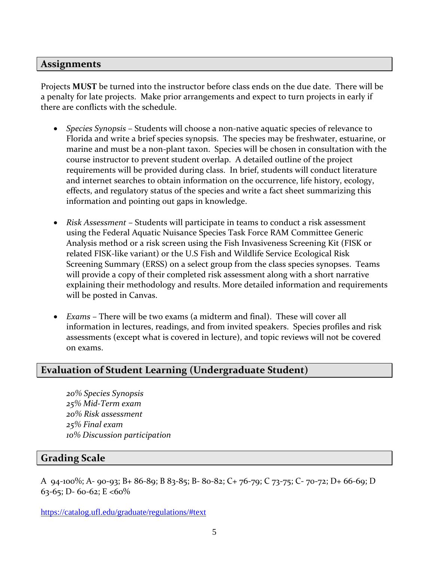#### **Assignments**

Projects **MUST** be turned into the instructor before class ends on the due date. There will be a penalty for late projects. Make prior arrangements and expect to turn projects in early if there are conflicts with the schedule.

- *Species Synopsis* Students will choose a non-native aquatic species of relevance to Florida and write a brief species synopsis. The species may be freshwater, estuarine, or marine and must be a non-plant taxon. Species will be chosen in consultation with the course instructor to prevent student overlap. A detailed outline of the project requirements will be provided during class. In brief, students will conduct literature and internet searches to obtain information on the occurrence, life history, ecology, effects, and regulatory status of the species and write a fact sheet summarizing this information and pointing out gaps in knowledge.
- *Risk Assessment* Students will participate in teams to conduct a risk assessment using the Federal Aquatic Nuisance Species Task Force RAM Committee Generic Analysis method or a risk screen using the Fish Invasiveness Screening Kit (FISK or related FISK-like variant) or the U.S Fish and Wildlife Service Ecological Risk Screening Summary (ERSS) on a select group from the class species synopses. Teams will provide a copy of their completed risk assessment along with a short narrative explaining their methodology and results. More detailed information and requirements will be posted in Canvas.
- *Exams* There will be two exams (a midterm and final). These will cover all information in lectures, readings, and from invited speakers. Species profiles and risk assessments (except what is covered in lecture), and topic reviews will not be covered on exams.

### **Evaluation of Student Learning (Undergraduate Student)**

*20% Species Synopsis 25% Mid-Term exam 20% Risk assessment 25% Final exam 10% Discussion participation*

#### **Grading Scale**

A 94-100%; A- 90-93; B+ 86-89; B 83-85; B- 80-82; C+ 76-79; C 73-75; C- 70-72; D+ 66-69; D 63-65; D- 60-62; E <60%

<https://catalog.ufl.edu/graduate/regulations/#text>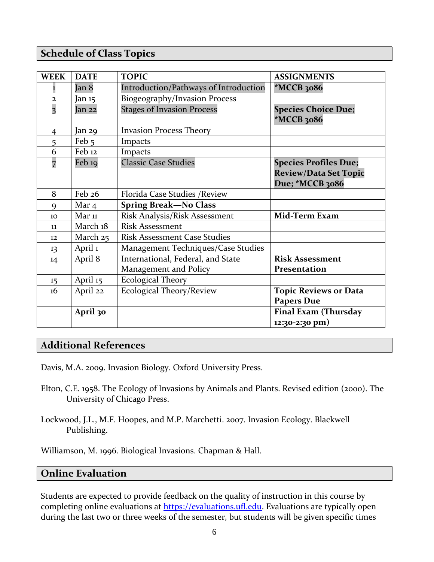## **Schedule of Class Topics**

| <b>WEEK</b>             | <b>DATE</b>       | <b>TOPIC</b>                                               | <b>ASSIGNMENTS</b>                                                              |
|-------------------------|-------------------|------------------------------------------------------------|---------------------------------------------------------------------------------|
|                         | Jan 8             | Introduction/Pathways of Introduction                      | $*MCCB$ 3086                                                                    |
| $\overline{2}$          | Jan 15            | Biogeography/Invasion Process                              |                                                                                 |
| $\overline{\mathbf{3}}$ | Jan 22            | <b>Stages of Invasion Process</b>                          | <b>Species Choice Due;</b><br>*MCCB 3086                                        |
| 4                       | Jan 29            | <b>Invasion Process Theory</b>                             |                                                                                 |
| 5                       | Feb 5             | Impacts                                                    |                                                                                 |
| 6                       | Feb <sub>12</sub> | Impacts                                                    |                                                                                 |
| 7                       | Feb 19            | <b>Classic Case Studies</b>                                | <b>Species Profiles Due;</b><br><b>Review/Data Set Topic</b><br>Due; *MCCB 3086 |
| 8                       | Feb 26            | Florida Case Studies / Review                              |                                                                                 |
| 9                       | Mar $4$           | <b>Spring Break-No Class</b>                               |                                                                                 |
| 10                      | $Mar$ 11          | Risk Analysis/Risk Assessment                              | Mid-Term Exam                                                                   |
| 11                      | March 18          | <b>Risk Assessment</b>                                     |                                                                                 |
| 12                      | March 25          | <b>Risk Assessment Case Studies</b>                        |                                                                                 |
| 13                      | April 1           | Management Techniques/Case Studies                         |                                                                                 |
| 14                      | April 8           | International, Federal, and State<br>Management and Policy | <b>Risk Assessment</b><br>Presentation                                          |
| 15                      | April 15          | <b>Ecological Theory</b>                                   |                                                                                 |
| 16                      | April 22          | <b>Ecological Theory/Review</b>                            | <b>Topic Reviews or Data</b><br><b>Papers Due</b>                               |
|                         | April 30          |                                                            | <b>Final Exam (Thursday</b><br>$12:30-2:30$ pm)                                 |

## **Additional References**

Davis, M.A. 2009. Invasion Biology. Oxford University Press.

- Elton, C.E. 1958. The Ecology of Invasions by Animals and Plants. Revised edition (2000). The University of Chicago Press.
- Lockwood, J.L., M.F. Hoopes, and M.P. Marchetti. 2007. Invasion Ecology. Blackwell Publishing.

Williamson, M. 1996. Biological Invasions. Chapman & Hall.

### **Online Evaluation**

Students are expected to provide feedback on the quality of instruction in this course by completing online evaluations at [https://evaluations.ufl.edu.](https://evaluations.ufl.edu/) Evaluations are typically open during the last two or three weeks of the semester, but students will be given specific times